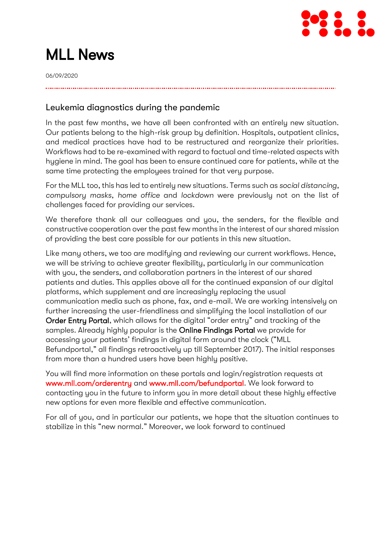

# MLL News

06/09/2020

### Leukemia diagnostics during the pandemic

In the past few months, we have all been confronted with an entirely new situation. Our patients belong to the high-risk group by definition. Hospitals, outpatient clinics, and medical practices have had to be restructured and reorganize their priorities. Workflows had to be re-examined with regard to factual and time-related aspects with hygiene in mind. The goal has been to ensure continued care for patients, while at the same time protecting the employees trained for that very purpose.

For the MLL too, this has led to entirely new situations. Terms such as *social distancing, compulsory masks, home office* and *lockdown* were previously not on the list of challenges faced for providing our services.

We therefore thank all our colleagues and you, the senders, for the flexible and constructive cooperation over the past few months in the interest of our shared mission of providing the best care possible for our patients in this new situation.

Like many others, we too are modifying and reviewing our current workflows. Hence, we will be striving to achieve greater flexibility, particularly in our communication with you, the senders, and collaboration partners in the interest of our shared patients and duties. This applies above all for the continued expansion of our digital platforms, which supplement and are increasingly replacing the usual communication media such as phone, fax, and e-mail. We are working intensively on further increasing the user-friendliness and simplifying the local installation of our Order Entry Portal, which allows for the digital "order entry" and tracking of the samples. Already highly popular is the Online Findings Portal we provide for accessing your patients' findings in digital form around the clock ("MLL Befundportal," all findings retroactively up till September 2017). The initial responses from more than a hundred users have been highly positive.

You will find more information on these portals and login/registration requests at [www.mll.com/orderentry](http://www.mll.com/orderentry) and [www.mll.com/befundportal.](http://www.mll.com/befundportal) We look forward to contacting you in the future to inform you in more detail about these highly effective new options for even more flexible and effective communication.

For all of you, and in particular our patients, we hope that the situation continues to stabilize in this "new normal." Moreover, we look forward to continued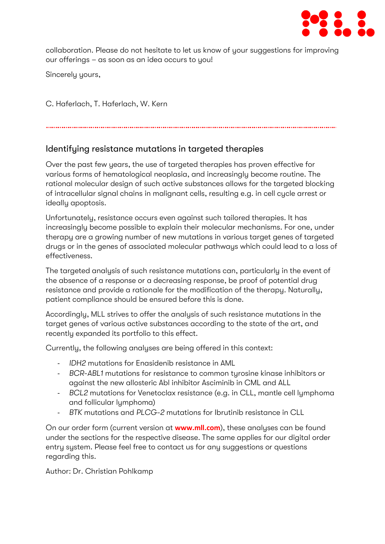

collaboration. Please do not hesitate to let us know of your suggestions for improving our offerings – as soon as an idea occurs to you!

Sincerely yours,

C. Haferlach, T. Haferlach, W. Kern

## Identifying resistance mutations in targeted therapies

Over the past few years, the use of targeted therapies has proven effective for various forms of hematological neoplasia, and increasingly become routine. The rational molecular design of such active substances allows for the targeted blocking of intracellular signal chains in malignant cells, resulting e.g. in cell cycle arrest or ideally apoptosis.

Unfortunately, resistance occurs even against such tailored therapies. It has increasingly become possible to explain their molecular mechanisms. For one, under therapy are a growing number of new mutations in various target genes of targeted drugs or in the genes of associated molecular pathways which could lead to a loss of effectiveness.

The targeted analysis of such resistance mutations can, particularly in the event of the absence of a response or a decreasing response, be proof of potential drug resistance and provide a rationale for the modification of the therapy. Naturally, patient compliance should be ensured before this is done.

Accordingly, MLL strives to offer the analysis of such resistance mutations in the target genes of various active substances according to the state of the art, and recently expanded its portfolio to this effect.

Currently, the following analyses are being offered in this context:

- *IDH2* mutations for Enasidenib resistance in AML
- *BCR*-*ABL1* mutations for resistance to common tyrosine kinase inhibitors or against the new allosteric Abl inhibitor Asciminib in CML and ALL
- *BCL2* mutations for Venetoclax resistance (e.g. in CLL, mantle cell lymphoma and follicular lymphoma)
- *BTK* mutations and *PLCG-2* mutations for Ibrutinib resistance in CLL

On our order form (current version at **[www.mll.com](http://www.mll.com/)**), these analyses can be found under the sections for the respective disease. The same applies for our digital order entry system. Please feel free to contact us for any suggestions or questions regarding this.

Author: Dr. Christian Pohlkamp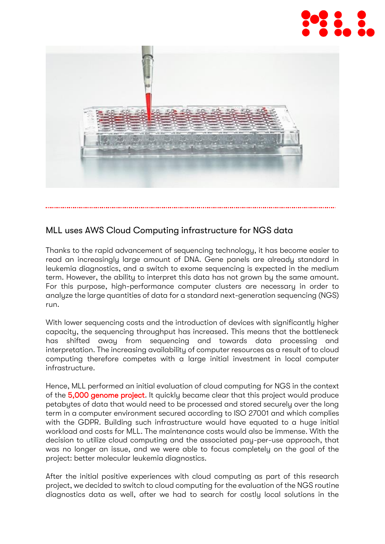



# MLL uses AWS Cloud Computing infrastructure for NGS data

Thanks to the rapid advancement of sequencing technology, it has become easier to read an increasingly large amount of DNA. Gene panels are already standard in leukemia diagnostics, and a switch to exome sequencing is expected in the medium term. However, the ability to interpret this data has not grown by the same amount. For this purpose, high-performance computer clusters are necessary in order to analyze the large quantities of data for a standard next-generation sequencing (NGS) run.

With lower sequencing costs and the introduction of devices with significantly higher capacity, the sequencing throughput has increased. This means that the bottleneck has shifted away from sequencing and towards data processing and interpretation. The increasing availability of computer resources as a result of to cloud computing therefore competes with a large initial investment in local computer infrastructure.

Hence, MLL performed an initial evaluation of cloud computing for NGS in the context of the [5,000 genome project.](https://www.mll.com/en/science/5000-genome-project.html) It quickly became clear that this project would produce petabytes of data that would need to be processed and stored securely over the long term in a computer environment secured according to ISO 27001 and which complies with the GDPR. Building such infrastructure would have equated to a huge initial workload and costs for MLL. The maintenance costs would also be immense. With the decision to utilize cloud computing and the associated pay-per-use approach, that was no longer an issue, and we were able to focus completely on the goal of the project: better molecular leukemia diagnostics.

After the initial positive experiences with cloud computing as part of this research project, we decided to switch to cloud computing for the evaluation of the NGS routine diagnostics data as well, after we had to search for costly local solutions in the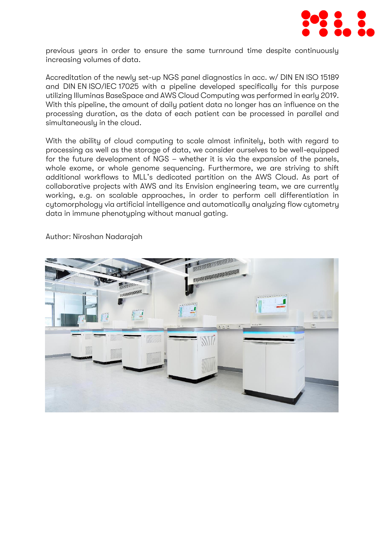

previous years in order to ensure the same turnround time despite continuously increasing volumes of data.

Accreditation of the newly set-up NGS panel diagnostics in acc. w/ DIN EN ISO 15189 and DIN EN ISO/IEC 17025 with a pipeline developed specifically for this purpose utilizing Illuminas BaseSpace and AWS Cloud Computing was performed in early 2019. With this pipeline, the amount of daily patient data no longer has an influence on the processing duration, as the data of each patient can be processed in parallel and simultaneously in the cloud.

With the ability of cloud computing to scale almost infinitely, both with regard to processing as well as the storage of data, we consider ourselves to be well-equipped for the future development of NGS – whether it is via the expansion of the panels, whole exome, or whole genome sequencing. Furthermore, we are striving to shift additional workflows to MLL's dedicated partition on the AWS Cloud. As part of collaborative projects with AWS and its Envision engineering team, we are currently working, e.g. on scalable approaches, in order to perform cell differentiation in cytomorphology via artificial intelligence and automatically analyzing flow cytometry data in immune phenotyping without manual gating.



Author: Niroshan Nadarajah